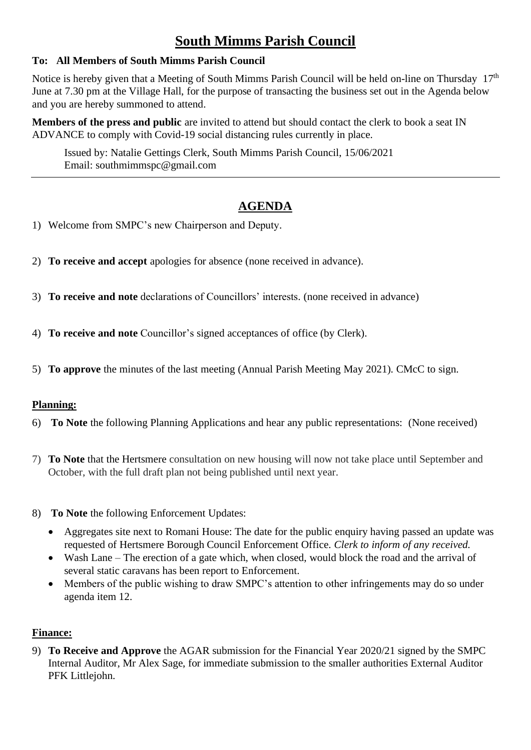# **South Mimms Parish Council**

#### **To: All Members of South Mimms Parish Council**

Notice is hereby given that a Meeting of South Mimms Parish Council will be held on-line on Thursday  $17<sup>th</sup>$ June at 7.30 pm at the Village Hall, for the purpose of transacting the business set out in the Agenda below and you are hereby summoned to attend.

**Members of the press and public** are invited to attend but should contact the clerk to book a seat IN ADVANCE to comply with Covid-19 social distancing rules currently in place.

Issued by: Natalie Gettings Clerk, South Mimms Parish Council, 15/06/2021 Email: southmimmspc@gmail.com

# **AGENDA**

- 1) Welcome from SMPC's new Chairperson and Deputy.
- 2) **To receive and accept** apologies for absence (none received in advance).
- 3) **To receive and note** declarations of Councillors' interests. (none received in advance)
- 4) **To receive and note** Councillor's signed acceptances of office (by Clerk).
- 5) **To approve** the minutes of the last meeting (Annual Parish Meeting May 2021). CMcC to sign.

#### **Planning:**

- 6) **To Note** the following Planning Applications and hear any public representations: (None received)
- 7) **To Note** that the Hertsmere consultation on new housing will now not take place until September and October, with the full draft plan not being published until next year.
- 8) **To Note** the following Enforcement Updates:
	- Aggregates site next to Romani House: The date for the public enquiry having passed an update was requested of Hertsmere Borough Council Enforcement Office. *Clerk to inform of any received.*
	- Wash Lane The erection of a gate which, when closed, would block the road and the arrival of several static caravans has been report to Enforcement.
	- Members of the public wishing to draw SMPC's attention to other infringements may do so under agenda item 12.

## **Finance:**

9) **To Receive and Approve** the AGAR submission for the Financial Year 2020/21 signed by the SMPC Internal Auditor, Mr Alex Sage, for immediate submission to the smaller authorities External Auditor PFK Littlejohn.